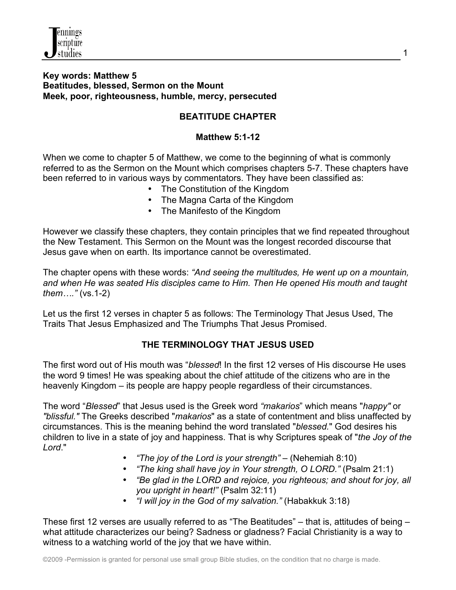

### **Key words: Matthew 5 Beatitudes, blessed, Sermon on the Mount Meek, poor, righteousness, humble, mercy, persecuted**

## **BEATITUDE CHAPTER**

### **Matthew 5:1-12**

When we come to chapter 5 of Matthew, we come to the beginning of what is commonly referred to as the Sermon on the Mount which comprises chapters 5-7. These chapters have been referred to in various ways by commentators. They have been classified as:

- The Constitution of the Kingdom
- The Magna Carta of the Kingdom
- The Manifesto of the Kingdom

However we classify these chapters, they contain principles that we find repeated throughout the New Testament. This Sermon on the Mount was the longest recorded discourse that Jesus gave when on earth. Its importance cannot be overestimated.

The chapter opens with these words: *"And seeing the multitudes, He went up on a mountain, and when He was seated His disciples came to Him. Then He opened His mouth and taught them…."* (vs.1-2)

Let us the first 12 verses in chapter 5 as follows: The Terminology That Jesus Used, The Traits That Jesus Emphasized and The Triumphs That Jesus Promised.

## **THE TERMINOLOGY THAT JESUS USED**

The first word out of His mouth was "*blessed*! In the first 12 verses of His discourse He uses the word 9 times! He was speaking about the chief attitude of the citizens who are in the heavenly Kingdom – its people are happy people regardless of their circumstances.

The word "*Blessed*" that Jesus used is the Greek word *"makarios*" which means "*happy"* or *"blissful."* The Greeks described "*makarios*" as a state of contentment and bliss unaffected by circumstances. This is the meaning behind the word translated "*blessed.*" God desires his children to live in a state of joy and happiness. That is why Scriptures speak of "*the Joy of the Lord*."

- *"The joy of the Lord is your strength"*  (Nehemiah 8:10)
- *"The king shall have joy in Your strength, O LORD."* (Psalm 21:1)
- *"Be glad in the LORD and rejoice, you righteous; and shout for joy, all you upright in heart!"* (Psalm 32:11)
- *"I will joy in the God of my salvation."* (Habakkuk 3:18)

These first 12 verses are usually referred to as "The Beatitudes" – that is, attitudes of being – what attitude characterizes our being? Sadness or gladness? Facial Christianity is a way to witness to a watching world of the joy that we have within.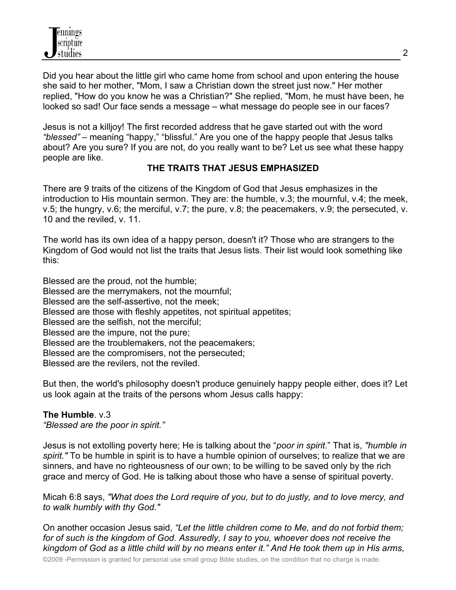Did you hear about the little girl who came home from school and upon entering the house she said to her mother, "Mom, I saw a Christian down the street just now." Her mother replied, "How do you know he was a Christian?" She replied, "Mom, he must have been, he looked so sad! Our face sends a message – what message do people see in our faces?

Jesus is not a killjoy! The first recorded address that he gave started out with the word *"blessed"* – meaning "happy," "blissful." Are you one of the happy people that Jesus talks about? Are you sure? If you are not, do you really want to be? Let us see what these happy people are like.

## **THE TRAITS THAT JESUS EMPHASIZED**

There are 9 traits of the citizens of the Kingdom of God that Jesus emphasizes in the introduction to His mountain sermon. They are: the humble, v.3; the mournful, v.4; the meek, v.5; the hungry, v.6; the merciful, v.7; the pure, v.8; the peacemakers, v.9; the persecuted, v. 10 and the reviled, v. 11.

The world has its own idea of a happy person, doesn't it? Those who are strangers to the Kingdom of God would not list the traits that Jesus lists. Their list would look something like this:

Blessed are the proud, not the humble; Blessed are the merrymakers, not the mournful; Blessed are the self-assertive, not the meek; Blessed are those with fleshly appetites, not spiritual appetites; Blessed are the selfish, not the merciful; Blessed are the impure, not the pure; Blessed are the troublemakers, not the peacemakers; Blessed are the compromisers, not the persecuted; Blessed are the revilers, not the reviled.

But then, the world's philosophy doesn't produce genuinely happy people either, does it? Let us look again at the traits of the persons whom Jesus calls happy:

## **The Humble**. v.3

*"Blessed are the poor in spirit."*

Jesus is not extolling poverty here; He is talking about the "*poor in spirit*." That is, *"humble in spirit."* To be humble in spirit is to have a humble opinion of ourselves; to realize that we are sinners, and have no righteousness of our own; to be willing to be saved only by the rich grace and mercy of God. He is talking about those who have a sense of spiritual poverty.

Micah 6:8 says, *"What does the Lord require of you, but to do justly, and to love mercy, and to walk humbly with thy God."* 

On another occasion Jesus said, *"Let the little children come to Me, and do not forbid them; for of such is the kingdom of God. Assuredly, I say to you, whoever does not receive the kingdom of God as a little child will by no means enter it." And He took them up in His arms,*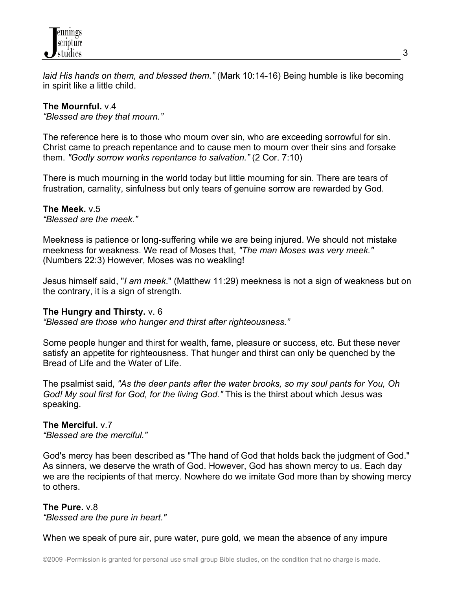

*laid His hands on them, and blessed them."* (Mark 10:14-16) Being humble is like becoming in spirit like a little child.

### **The Mournful.** v.4

*"Blessed are they that mourn."*

The reference here is to those who mourn over sin, who are exceeding sorrowful for sin. Christ came to preach repentance and to cause men to mourn over their sins and forsake them. *"Godly sorrow works repentance to salvation."* (2 Cor. 7:10)

There is much mourning in the world today but little mourning for sin. There are tears of frustration, carnality, sinfulness but only tears of genuine sorrow are rewarded by God.

#### **The Meek.** v.5 *"Blessed are the meek."*

Meekness is patience or long-suffering while we are being injured. We should not mistake meekness for weakness. We read of Moses that, *"The man Moses was very meek."* (Numbers 22:3) However, Moses was no weakling!

Jesus himself said, "*I am meek*." (Matthew 11:29) meekness is not a sign of weakness but on the contrary, it is a sign of strength.

#### **The Hungry and Thirsty.** v. 6

*"Blessed are those who hunger and thirst after righteousness."*

Some people hunger and thirst for wealth, fame, pleasure or success, etc. But these never satisfy an appetite for righteousness. That hunger and thirst can only be quenched by the Bread of Life and the Water of Life.

The psalmist said, *"As the deer pants after the water brooks, so my soul pants for You, Oh God! My soul first for God, for the living God."* This is the thirst about which Jesus was speaking.

# **The Merciful.** v.7

*"Blessed are the merciful."*

God's mercy has been described as "The hand of God that holds back the judgment of God." As sinners, we deserve the wrath of God. However, God has shown mercy to us. Each day we are the recipients of that mercy. Nowhere do we imitate God more than by showing mercy to others.

#### **The Pure.** v.8 *"Blessed are the pure in heart."*

When we speak of pure air, pure water, pure gold, we mean the absence of any impure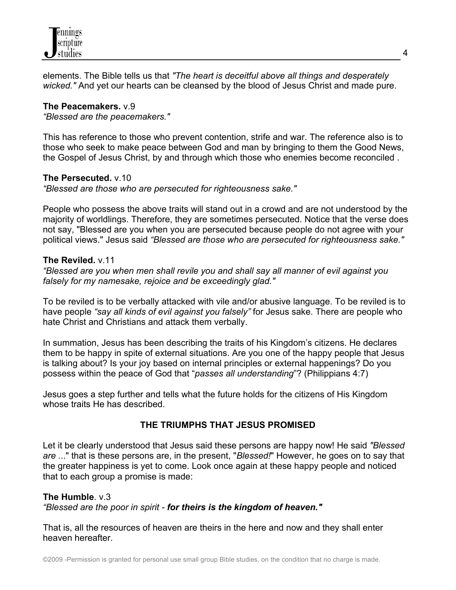

elements. The Bible tells us that *"The heart is deceitful above all things and desperately wicked."* And yet our hearts can be cleansed by the blood of Jesus Christ and made pure.

#### **The Peacemakers.** v.9

*"Blessed are the peacemakers."*

This has reference to those who prevent contention, strife and war. The reference also is to those who seek to make peace between God and man by bringing to them the Good News, the Gospel of Jesus Christ, by and through which those who enemies become reconciled .

#### **The Persecuted.** v.10

*"Blessed are those who are persecuted for righteousness sake."*

People who possess the above traits will stand out in a crowd and are not understood by the majority of worldlings. Therefore, they are sometimes persecuted. Notice that the verse does not say, "Blessed are you when you are persecuted because people do not agree with your political views." Jesus said *"Blessed are those who are persecuted for righteousness sake."*

#### **The Reviled.** v.11

*"Blessed are you when men shall revile you and shall say all manner of evil against you falsely for my namesake, rejoice and be exceedingly glad."*

To be reviled is to be verbally attacked with vile and/or abusive language. To be reviled is to have people *"say all kinds of evil against you falsely"* for Jesus sake. There are people who hate Christ and Christians and attack them verbally.

In summation, Jesus has been describing the traits of his Kingdom's citizens. He declares them to be happy in spite of external situations. Are you one of the happy people that Jesus is talking about? Is your joy based on internal principles or external happenings? Do you possess within the peace of God that "*passes all understanding*"? (Philippians 4:7)

Jesus goes a step further and tells what the future holds for the citizens of His Kingdom whose traits He has described.

#### **THE TRIUMPHS THAT JESUS PROMISED**

Let it be clearly understood that Jesus said these persons are happy now! He said *"Blessed are .*.." that is these persons are, in the present, "*Blessed!*" However, he goes on to say that the greater happiness is yet to come. Look once again at these happy people and noticed that to each group a promise is made:

#### **The Humble**. v.3

*"Blessed are the poor in spirit - for theirs is the kingdom of heaven."*

That is, all the resources of heaven are theirs in the here and now and they shall enter heaven hereafter.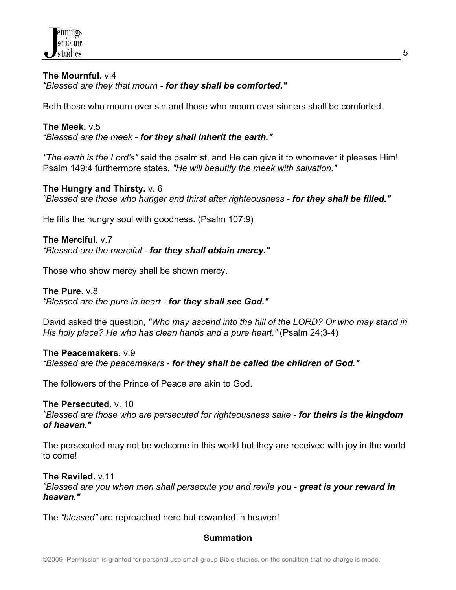

#### **The Mournful.** v.4 *"Blessed are they that mourn - for they shall be comforted."*

Both those who mourn over sin and those who mourn over sinners shall be comforted.

**The Meek.** v.5 *"Blessed are the meek - for they shall inherit the earth."*

*"The earth is the Lord's"* said the psalmist, and He can give it to whomever it pleases Him! Psalm 149:4 furthermore states, *"He will beautify the meek with salvation."*

#### **The Hungry and Thirsty.** v. 6

*"Blessed are those who hunger and thirst after righteousness - for they shall be filled."*

He fills the hungry soul with goodness. (Psalm 107:9)

**The Merciful.** v.7 *"Blessed are the merciful - for they shall obtain mercy."*

Those who show mercy shall be shown mercy.

#### **The Pure.** v.8

*"Blessed are the pure in heart - for they shall see God."*

David asked the question, *"Who may ascend into the hill of the LORD? Or who may stand in His holy place? He who has clean hands and a pure heart."* (Psalm 24:3-4)

#### **The Peacemakers.** v.9

*"Blessed are the peacemakers* - *for they shall be called the children of God."*

The followers of the Prince of Peace are akin to God.

#### **The Persecuted.** v. 10

*"Blessed are those who are persecuted for righteousness sake - for theirs is the kingdom of heaven."*

The persecuted may not be welcome in this world but they are received with joy in the world to come!

**The Reviled.** v.11 *"Blessed are you when men shall persecute you and revile you - great is your reward in heaven."*

The *"blessed"* are reproached here but rewarded in heaven!

#### **Summation**